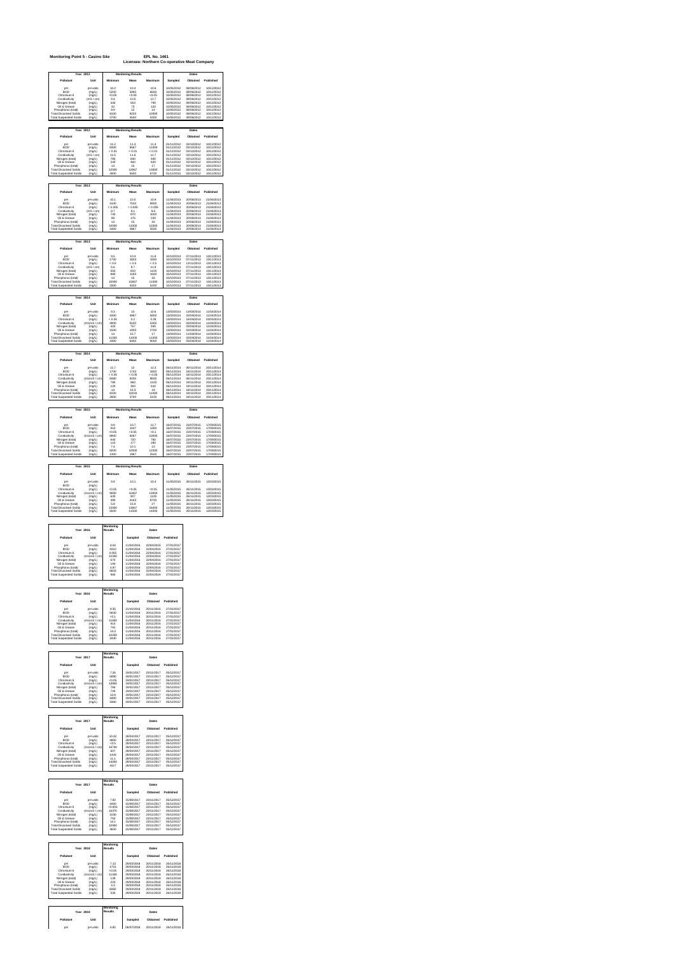| Monitoring Point 5 - Casino Site                                                                                                     |                                                                          |                                        | Licensee: Northern Co-operative Meat Company                    | <b>EPL No. 1461</b>                                  |                                                                                  |                                                                    |                                                                                  |
|--------------------------------------------------------------------------------------------------------------------------------------|--------------------------------------------------------------------------|----------------------------------------|-----------------------------------------------------------------|------------------------------------------------------|----------------------------------------------------------------------------------|--------------------------------------------------------------------|----------------------------------------------------------------------------------|
| Year                                                                                                                                 | 2012                                                                     |                                        | <b>Monitoring Results</b>                                       |                                                      |                                                                                  | <b>Dates</b>                                                       |                                                                                  |
| оH                                                                                                                                   | Unit<br>pH units                                                         | 10.2                                   | 10.4                                                            | 10.6                                                 | Samp<br>1005/2012                                                                | 08/06/2012                                                         |                                                                                  |
| pn<br>BOD<br>mium 6<br>œ<br>Conductivity                                                                                             | mal.)<br>(mal.)<br>(mS / cn                                              | $\frac{5200}{60.05}$                   | $\begin{array}{c} 1000 \\ 5900 \\ 60.05 \\ 10.5 \\ \end{array}$ | $6600$<br>$60.05$<br>$11.7$                          | 10/05/2012<br>10/05/2012<br>1005/2012                                            | 08/06/2012<br>08/06/2012                                           | 10/12/2012<br>10/12/2012<br>10/12/2012<br>10/12/2012                             |
| Nitrogen (total)<br>Oil & Grease<br>Phosphonis (total)                                                                               | (mol.)<br>(mgl.)<br>(mol <sub>L</sub> )                                  | 440<br>42<br>9.9                       | 653<br>73<br>12                                                 | 790<br>120<br>14                                     | 10/05/2012<br>10/05/2012<br>1005/2012                                            | 08/06/2012<br>08/06/2012<br>08/06/2012                             | 10/12/2012<br>10/12/2012<br>10/12/2012                                           |
| Total Dissolved Solids<br>Total Suspended Solids                                                                                     | on 1<br>öί                                                               | 8100                                   | 92<br>aa<br>4500                                                | 10000                                                | 005/2012<br>1005/2012                                                            | 08/06/2012<br>08/06/2012                                           | 10/12/2012<br>10/12/2012                                                         |
| <b>Year 2012</b><br><b>Dollarshi</b>                                                                                                 | Link                                                                     |                                        | <b>Monitoring Results</b><br>۸                                  |                                                      | Sampled                                                                          | Dates<br>Obtain<br>ad.                                             | Publish<br>od.                                                                   |
| pH<br><b>BOD</b>                                                                                                                     | pH units<br>(mol.)                                                       | 11.2<br>8300                           | 11.3<br>9567                                                    | 11.4<br>11000                                        | 01/11/2012<br>01/11/2012                                                         | 03/12/2012<br>03/12/2012                                           | 10/12/2012<br>10/12/2012                                                         |
| Chromium 6<br>Conductivity<br>Nitrogen flotali<br>Oil & Grease                                                                       | imal.)<br>mS / cn<br>(mal.)<br>(mgl.)                                    | $6.01$<br>$11.5$<br>$780$<br>$240$     | $6.01$<br>$11.6$<br>$830$<br>$460$                              | $6001$<br>$11.7$<br>$930$<br>$620$                   | 01/11/2012<br>01/11/2012<br>01/11/2012<br>01/11/2012<br>01/11/2012               | 03/12/2012<br>03/12/2012<br>03/12/2012<br>03/12/2012               | 10/12/2012<br>10/12/2012<br>10/12/2012<br>10/12/2012                             |
| Phosphorus (total)<br><b>Total Dissolved Solids</b><br><b>Total Suspended Solids</b>                                                 | (mgl.)<br>(mol <sub>L</sub> )<br>(mgl)                                   | 13<br>12000<br>4900                    | 15<br>12667<br>5600                                             | 17<br>13000<br>6700                                  | 01/11/2012<br>01/11/2012<br>01/11/2012                                           | 03/12/2012<br>03/12/2012<br>03/12/2012                             | 10/12/2012<br>10/12/2012<br>10/12/2012                                           |
|                                                                                                                                      |                                                                          |                                        |                                                                 |                                                      |                                                                                  |                                                                    |                                                                                  |
| Year<br>Pollutant                                                                                                                    | Unit                                                                     |                                        | ing Results<br>Á                                                |                                                      | Sample<br>d                                                                      | Dates<br>Obtain                                                    |                                                                                  |
| оH<br>BOD<br>Chromium 6<br>Conductivity                                                                                              | pH units<br>(mgl.)<br>(mol.)<br>$S$ / $cm$                               | 10.1<br>4100<br>0.005                  | 10.5<br>7533<br>< 0.005                                         | 10.9<br>9900<br>< 0.005                              | 11/04/2013<br>11/04/2013<br>11/04/2013                                           | 20/06/2013<br>20/06/2013<br>20/06/2013<br>20/06/2013               | 21/06/2013<br>21/06/2013<br>21/06/2012<br>21/06/2012                             |
| Nitrogen (total)<br>Oil & Grease<br>fhosphorus (total<br>a)                                                                          | <sub>(r</sub><br>(mgL)<br>(mgL)<br>(mgL)                                 | 8.7<br>740<br>$\frac{98}{13}$          | 9.1<br>$\frac{870}{176}$                                        | 9.6<br>$\frac{1000}{220}$                            | 11/04/2013<br>11/04/2013<br>11/04/2013<br>11/04/2013                             | 20/06/2013<br>20/06/2013<br>20/06/2013                             | 21/06/2013<br>21/06/2013<br>21/06/2013                                           |
| <b>Total Dissolved Solids</b><br><b>Total Suspended Solids</b>                                                                       | (mgl.)<br>(mol <sub>L</sub> )                                            | 10000<br>4400                          | 11000<br>4867                                                   | 12000<br>5500                                        | 11/04/2013<br>11/04/2013                                                         | 20/06/2013<br>20/06/2013                                           | 21/06/2013<br>21/06/2013                                                         |
| Year                                                                                                                                 | 2013                                                                     | Mo.                                    | nitoring Results                                                |                                                      |                                                                                  | <b>Dates</b>                                                       |                                                                                  |
| Pollutant<br>oH<br>BOD                                                                                                               | Unit<br>pH units                                                         | 9.5                                    | <b>M</b><br>10.4                                                | winn.<br>11.8                                        | Sampled<br>10/10/2013                                                            | Obtain<br>ad.<br>07/11/2013                                        | Publisher<br>13/11/2013                                                          |
| Chromium 6                                                                                                                           | (mgl.)<br>(mgl)<br>ń                                                     | 1700<br>0.5<br>6.6                     | 1833<br>< 0.5<br>o3<br>833                                      | 1900<br>$< 0.5$<br>11.8<br>1100<br>1600              | 10/10/2013<br>10/10/2013                                                         | 07/11/2013<br>13/11/2013                                           | 13/11/2013<br>13/11/2013                                                         |
| Conductivity<br>Vitrogen (total)<br>Oil & Grease<br>Phosphorus (total)<br><b>Total Dissolved Solids</b>                              | ns / cn<br>ms / cn<br>(mgL)<br>(maL)<br>(mol.)<br>(mgl.)                 | 550<br>980<br>14<br>10000              | 1193<br>15<br>10667                                             | 16<br>11000                                          | 10/10/2013<br>10/10/2013<br>10/10/2013<br>10/10/2013<br>10/10/2013<br>10/10/2013 | 07/11/2013<br>07/11/2013<br>07/11/2013<br>07/11/2013<br>07/11/2013 | 13/11/2013<br>13/11/2013<br>13/11/2013<br>13/11/2013<br>13/11/2013<br>13/11/2013 |
| <b>Total Suspended Solids</b>                                                                                                        | (mol <sub>L</sub> )                                                      | 3300                                   | 4333                                                            | 5200                                                 | 10/10/2013                                                                       | 07/11/2013                                                         | 13/11/2013                                                                       |
| Pollutant                                                                                                                            | 2014<br>Unit                                                             |                                        | a Res<br>Mean                                                   | Maximum                                              | Sampled                                                                          | Dat<br>Ohtained                                                    | Publich<br>d                                                                     |
| <b>BOD</b>                                                                                                                           | pH uni<br>(mol.)                                                         | 9.3<br>4300                            | 10<br>4967<br>0.2                                               | 10.6<br>5800                                         | 13/03/201<br>13/03/2014<br>13/03/2014                                            | 3/03/2014<br>03/04/2014<br>16/04/2014                              | 11/04/201<br>11/04/2014<br>11/04/2014<br>02/05/2014                              |
| Chromium 6<br>Conductivity<br>Nitrogen (total)<br>Oil & Grease                                                                       | (mgl.)<br>(microS / cm)                                                  | < 0.05<br>4900<br>420<br>1500          | 5100<br>5165<br>757<br>1933                                     | 0.28<br>5300<br>940                                  | 13/03/2014                                                                       | mineranta<br>03/04/2014                                            | 11/04/2014                                                                       |
| Ull & Urbase<br>Phosphorus (total)<br>"otal Dissolved Solids<br><b>Total Suspended Solids</b>                                        | uus / I<br>(mal.)<br>(mal.)<br>(mal.)<br>(mqL)                           | 14<br>1000                             | 15.7<br>11000                                                   | 2700<br>17<br>11000                                  | 13032014<br>13032014<br>13032014<br>13032014                                     | 03/04/2014<br>11/04/2014<br>03/04/2014<br>03/04/2014               | 11/04/2014<br>11/04/2014<br>11/04/2014<br>11/04/2014<br>11/04/2014               |
| <b>Year 2014</b>                                                                                                                     | (mgl.)                                                                   | 4300                                   | 6400<br><b>Monitoring Results</b>                               | 9000                                                 | 13/03/2014                                                                       | Dates                                                              |                                                                                  |
| Pollutant                                                                                                                            | Unit                                                                     | nimum                                  | Mean                                                            | Maximum                                              | Sampled                                                                          | Obtained                                                           | Published                                                                        |
| оH<br>BOD<br>Chromium 6                                                                                                              | pH units<br>$(m\alpha L)$<br>(mqL)                                       | 11.7<br>$1700$<br>$< 0.05$             | $12^{12}$<br>$\frac{12}{1733}$                                  | 12.3<br>$1800$<br>$0.05$                             | 06/11/2014<br>06/11/2014<br>06/11/2014<br>06/11/2014                             | 06/11/2014<br>uari 1/2014<br>18/11/2014<br>18/11/2014              | 20/11/2014<br>20/11/2014<br>20/11/2014                                           |
| Conductivity<br>Nitrogen (total)<br>Oil & Grease                                                                                     | (microS / cm)<br>(mol.)<br>(mol <sub>L</sub> )                           | 8480<br>780<br>120                     | 9230<br>960<br>393                                              | 9600<br>1100<br>610                                  | 06/11/2014<br>06/11/2014<br>06/11/2014                                           | 06/11/2014<br>18/11/2014<br>18/11/2014                             | 20/11/2014<br>20/11/2014<br>20/11/2014                                           |
| Phosphorus (total)<br>Total Dissolved Solids<br>Total Suspended Solids                                                               | (mgl.<br>.<br>ImaLl<br>(mg/L)                                            | 13<br>2800                             | 15.3<br>10033                                                   | 10<br>5100                                           | 06/11/2014<br>06/11/2014<br>06/11/2014                                           | 18/11/2014<br>18/11/2014<br>18/11/2014                             | 20/11/2014<br>20/11/2014<br>20/11/2014                                           |
| <b>Year 2015</b>                                                                                                                     |                                                                          |                                        | <b>Monitoring Results</b>                                       |                                                      |                                                                                  | Dates                                                              |                                                                                  |
| Pollutant<br>pH                                                                                                                      | Unit<br>pH units                                                         | 9.9                                    | M.<br>10.7                                                      | vims<br>11.7                                         | Sampled<br>16/07/2015                                                            | Obtained<br>23/07/2015                                             | Published<br>17/09/2015                                                          |
| <b>BOD</b><br>Chromium 6<br>Conductivity<br>Nitrogen flotall                                                                         | $\frac{\text{(mal})}{\text{mal}}$                                        | 910<br>$-0.05$<br>8900<br>640          | 1047<br>$-0.05$<br>$9267$<br>$720$                              | 1300<br>$\frac{1000}{10000}$                         | 16/07/2015<br>16/07/2015<br>16/07/2015<br>16/07/2015<br>16/07/2015               | 23/07/2015<br>23/07/2015<br>23/07/2015<br>23/07/2015               | 17/09/2015<br>17/09/2015<br>17/09/2015<br>17/09/2015                             |
| Oil & Grease<br>Phosphorus (total)                                                                                                   | (mol)<br>(mol.)<br>(mgl.)                                                | 110<br>7.4                             | 177<br>10.1                                                     | 280<br>13                                            | 16/07/2015<br>16/07/2015                                                         | 23/07/2015<br>23/07/2015                                           | 17/09/2015<br>17/09/2015                                                         |
| <b>Total Dissolved Solids</b><br>Total Suspended Solids                                                                              | (mol <sub>L</sub> )<br>on 1                                              | 8200<br>1300                           | 10000<br>1967                                                   | 12000<br>2500                                        | 16/07/2015<br>16/07/2015                                                         | 23/07/2015<br>23/07/2015                                           | 17/09/2015<br>17/09/2015                                                         |
| Year 2015<br>Pollutant                                                                                                               | Unit                                                                     | M.                                     | nitoring Results<br>Mean                                        | Maxim                                                | Sampled                                                                          | Dates<br>Obtained                                                  | Published                                                                        |
| nН<br><b>BOD</b>                                                                                                                     | pH unit<br>(mqL)                                                         | 9.9                                    | 10.1                                                            | 10.4                                                 | 11/05/2015                                                                       | 26/11/2015                                                         | 12/03/2015                                                                       |
| Chromium 6<br>Conductivity<br>Nitrogen (total)                                                                                       | (mol.)<br>(microS / cm)<br>$\frac{\text{Im}\alpha L}{\text{Im}\alpha L}$ | $-0.05$<br>9000<br>630                 | $-0.05$<br>10467<br>907                                         | $-0.05$<br>13000<br>1100                             | 11/05/2015<br>11/05/2015<br>11/05/2015                                           | 26/11/2015<br>26/11/2015<br>26/11/2015                             | 12/03/2015<br>12/03/2015<br>12/03/2015                                           |
| Nillogale<br>Cil & Grease<br>Phosphorus (total)<br>"otal Dissolved Solids                                                            | (mgL)<br>(mgL)                                                           | ann<br>5.8                             | 4163<br>4163<br>15.9<br>13667                                   | $rac{8700}{27}$<br>16000                             | 1/05/2015<br>1/05/2015<br>1/05/2015<br>1/05/2015                                 | 26/11/2015<br>26/11/2015<br>26/11/2015                             | 12/03/2015<br>12/03/2015<br>12/03/2015                                           |
| <b>Total Suspended Solids</b>                                                                                                        | (mol.)                                                                   | 6500                                   | 11500                                                           | 14000                                                | 11/05/2015                                                                       | 26/11/2015                                                         | 12/03/2015                                                                       |
| Year 2016                                                                                                                            |                                                                          | Monitoring<br>Results                  |                                                                 | Dates                                                |                                                                                  |                                                                    |                                                                                  |
| Pollutant<br>оH                                                                                                                      | Unit<br>pH units                                                         | 8.54                                   | s.<br>å<br>11/04/2016                                           | Ohtained<br>22/04/2016                               | <b>Publish</b><br>27/01/2017                                                     |                                                                    |                                                                                  |
| <b>BOD</b>                                                                                                                           |                                                                          | 4310                                   | 11/04/2016<br>1/04/2016                                         | 22/04/2016<br>22/04/2016                             | 27/01/2017<br>27/01/2017                                                         |                                                                    |                                                                                  |
| Chromium 6                                                                                                                           | (mol.)<br>(mol <sub>L</sub> )<br>. ~≈∼r<br>roS / cr<br>(mi               | 0.055<br>12330                         | 11/04/2016                                                      | 22/04/2016                                           | 27/01/2017                                                                       |                                                                    |                                                                                  |
| Ceremium 6<br>Conductivity<br>Nitrogen (total)<br>50<br>Phosphorus (total)                                                           | $(m\alpha L)$<br>(mqL)<br>(mol.)                                         | 670<br>4.97                            | 11/04/2016<br>/2016                                             | 22/04/2016                                           | 27/01/2017<br>27/01/2017                                                         |                                                                    |                                                                                  |
| <b>Total Dissolved Solids</b><br><b>Total Suspended Solids</b>                                                                       | (mol.)<br>mod 1                                                          | 6833<br>960                            | 11/04/2016<br>11/04/2016<br>11/04/2016                          | 22/04/2016<br>22/04/2016<br>22/04/2016               | 27/01/2017<br>27/01/2017                                                         |                                                                    |                                                                                  |
| <b>Year 2016</b>                                                                                                                     |                                                                          | onitoring<br>Results                   |                                                                 | Dates                                                |                                                                                  |                                                                    |                                                                                  |
| Pollutant                                                                                                                            | Unit                                                                     |                                        | Sampled                                                         | Obtained                                             | Published                                                                        |                                                                    |                                                                                  |
| nН<br>$\frac{1}{100}$<br>hromium 6                                                                                                   | oH units<br>(mg/L)<br>(mg/L)                                             | 9.35<br>$\frac{40.38}{60.1}$           | 21/10/2016<br>21/10/2016<br>11/04/2016<br>11/04/2016            | 20/11/2016<br>20/11/2016<br>20/11/2016               | 27/01/2017<br>27/01/2017<br>27/01/2017                                           |                                                                    |                                                                                  |
| Conductivity<br>Nitrogen (total)<br>Oil & Grease                                                                                     | ImicroS / cml<br>(mgl.)<br>(mol.)                                        | 11650<br>914<br>791                    | 11/04/2016<br>11/04/2016<br>11/04/2016                          | 20/11/2016<br>20/11/2016<br>20/11/2016               | 27/01/2017<br>27/01/2017<br>27/01/2017                                           |                                                                    |                                                                                  |
| Phosphorus (total)<br>Total Dissolved Solids<br>Total Suspended Solids                                                               | m <sub>0</sub><br>mu<br>(mgL)<br>(mol)                                   | ia s<br>10250<br>3440                  | 1/04/2016<br>1/04/2016<br>11/04/2016                            | 20/11/2016<br>20/11/2016                             | 27/01/2017<br>27/01/2017<br>27/01/2017                                           |                                                                    |                                                                                  |
|                                                                                                                                      |                                                                          |                                        |                                                                 |                                                      |                                                                                  |                                                                    |                                                                                  |
| Year 2017<br>Pollutant                                                                                                               | Unit                                                                     | <b>Monitoring</b><br>Results           | Sampled                                                         | Dates<br>Ohtained                                    | Published                                                                        |                                                                    |                                                                                  |
| <b>BOD</b>                                                                                                                           | pH un<br>(mol.)                                                          | 7.26<br>5890                           | 19/01/2017<br>19/01/2017                                        | 23/11/2017<br>23/11/2017                             | 05/12/2017                                                                       |                                                                    |                                                                                  |
| Chromium 6<br>Conductivity                                                                                                           | (mol)<br>(microS / cm)<br>(mat)                                          | $-0.05$<br>13900<br>784                | 19/01/2017<br>19/01/2017<br>19/01/2017                          | 23/11/2017<br>23/11/2017<br>23/11/2017               | 05/12/2017<br>05/12/2017<br>05/12/2017                                           |                                                                    |                                                                                  |
| Nitrogen ftotall<br>Oil & Grease<br>Phosphorus (total)<br>Total Dissolved Solids                                                     | (mal.)<br>(mgl.)<br>(mol.)                                               | $745$<br>12.8<br>4400<br>3460          | 1901/2017<br>1901/2017<br>1901/2017<br>19/01/2017               | 23/11/2017<br>23/11/2017                             | 05/12/2017<br>05/12/2017<br>05/12/2017                                           |                                                                    |                                                                                  |
| <b>Total Suspended Solids</b>                                                                                                        | (mol.)                                                                   |                                        | 19/01/2017                                                      | 23/11/2017<br>23/11/2017                             | 05/12/2017                                                                       |                                                                    |                                                                                  |
| Year 2017                                                                                                                            |                                                                          | Monitoring<br>Results                  |                                                                 | <b>Dates</b>                                         |                                                                                  |                                                                    |                                                                                  |
| dutant<br>pН                                                                                                                         | Unit<br>pH units                                                         | 10.42                                  | 28/04/2017                                                      | Obtained<br>23/11/2017                               | 05/12/2017                                                                       |                                                                    |                                                                                  |
| <b>BOD</b>                                                                                                                           | (mol.)<br>(mgL)<br>(mgL)<br>(microS/cml                                  | 4800                                   | 28/04/2017<br>28/04/2017                                        | 23/11/2017<br>23/11/2017                             | 05/12/2017<br>05/12/2017                                                         |                                                                    |                                                                                  |
| Chromium 6<br>Conductivity<br>litrogen (total)<br>Oil & Grease<br>Phosphorus (total)                                                 | (mqL)<br>(mol.)<br>(mol.)                                                | $-0.5$<br>16740<br>607<br>1443<br>11.1 | 28042017<br>2804/2017<br>2804/2017<br>28/04/2017                | 23/11/2017<br>23/11/2017<br>23/11/2017               | 05/12/2017<br>05/12/2017<br>05/12/2017<br>05/12/2017<br>05/12/2017               |                                                                    |                                                                                  |
| <b>Total Dissolved Solids</b><br><b>Total Suspended Solids</b>                                                                       | (mol <sub>L</sub> )<br><i>ima</i> L                                      | 14000<br>4317                          | 28/04/2017<br>28/04/2017<br>28/04/2017                          | 23/11/2017<br>23/11/2017<br>23/11/2017               | 05/12/2017<br>05/12/2017                                                         |                                                                    |                                                                                  |
|                                                                                                                                      |                                                                          | onitoring<br>Results                   |                                                                 |                                                      |                                                                                  |                                                                    |                                                                                  |
| Year 2017<br>Pollutant                                                                                                               | Unit                                                                     |                                        | Sampled                                                         | Obtained                                             | Published                                                                        |                                                                    |                                                                                  |
| nН<br>BOD<br>Chromium 6                                                                                                              | pH units<br>$(m_0L)$<br>(mol.)                                           | 7.82<br>4450<br>0.005                  | 15/08/2017<br>15/08/2017                                        | 23/11/2017<br>23/11/2017                             | 05/12/2017<br>05/12/2017                                                         |                                                                    |                                                                                  |
| Conductivity<br>Nitrogen (total)<br>Oil & Grease                                                                                     | (microS / cm)<br>(mol.)<br>(mol)                                         | 16370<br>1030                          | 15/08/2017<br>15/08/2017<br>15/08/2017                          | 23/11/2017<br>23/11/2017<br>23/11/2017               | 05/12/2017<br>05/12/2017<br>05/12/2017                                           |                                                                    |                                                                                  |
| Citi & Grease<br>Phosphorus (total)<br>Total Dissolved Solids<br>Total Suspended Solids                                              | (mqL)<br>(mqL)                                                           | 750<br>14.1<br>10900<br>3600           | 15/08/2017<br>15/08/2017<br>15/08/2017<br>15/08/2017            | 23/11/2017<br>23/11/2017<br>23/11/2017<br>23/11/2017 | 05/12/2017<br>05/12/2017<br>05/12/2017<br>05/12/2017                             |                                                                    |                                                                                  |
|                                                                                                                                      |                                                                          |                                        |                                                                 |                                                      |                                                                                  |                                                                    |                                                                                  |
| <b>Year 2018</b><br>Pollutant                                                                                                        | Unit                                                                     | Monitoring<br>Results                  | Sampled                                                         | Dates<br>Obtained                                    | Publish<br>d                                                                     |                                                                    |                                                                                  |
| <b>BOD</b>                                                                                                                           | oH units<br>(mgl.)                                                       | 7.13<br>1701                           | 29/03/2018<br>29/03/2018                                        | 20/11/2018<br>20/11/2018                             | 26/11/2018<br>26/11/2018                                                         |                                                                    |                                                                                  |
| Chromium 6                                                                                                                           | (mol.)                                                                   | $-0.05$<br>11440<br>139                | 29/03/2018<br>29/03/2018<br>29/03/2018                          | 20/11/2018<br>20/11/2018<br>20/11/2018               | 26/11/2018<br>26/11/2018<br>26/11/2018                                           |                                                                    |                                                                                  |
| Conductivity<br>Gonductivity<br>Oil & Grease<br>Phosphorus (total)<br><b>Total Dissolved Solids</b><br><b>Total Suspended Solids</b> | $\frac{(microS/cm)}{(mqL)}$<br>(mol.)<br>(mgl.)<br>(mol <sub>L</sub> )   | $\frac{1}{223}$<br>4.3<br>8382<br>535  | 29/03/2018<br>29/03/2018<br>29/03/2018<br>29/03/2018            | 20/11/2018<br>20/11/2018<br>20/11/2018<br>20/11/2018 | 26/11/2018<br>26/11/2018<br>26/11/2018<br>26/11/2018                             |                                                                    |                                                                                  |
|                                                                                                                                      |                                                                          |                                        |                                                                 |                                                      |                                                                                  |                                                                    |                                                                                  |
| Year 2018<br>llutant                                                                                                                 | Unit                                                                     | Monitoring<br>Results                  |                                                                 | Dates<br>Obtained                                    |                                                                                  |                                                                    |                                                                                  |